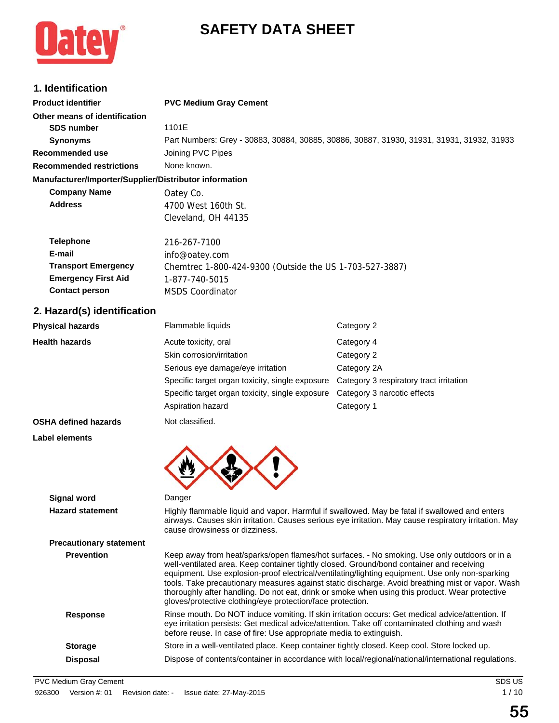# **SAFETY DATA SHEET**



## **1. Identification**

| 1. IUGHHIUGHUII                                        |                                                                                           |
|--------------------------------------------------------|-------------------------------------------------------------------------------------------|
| <b>Product identifier</b>                              | <b>PVC Medium Gray Cement</b>                                                             |
| Other means of identification                          |                                                                                           |
| <b>SDS number</b>                                      | 1101E                                                                                     |
| <b>Synonyms</b>                                        | Part Numbers: Grey - 30883, 30884, 30885, 30886, 30887, 31930, 31931, 31931, 31932, 31933 |
| Recommended use                                        | Joining PVC Pipes                                                                         |
| <b>Recommended restrictions</b>                        | None known.                                                                               |
| Manufacturer/Importer/Supplier/Distributor information |                                                                                           |
| <b>Company Name</b>                                    | Oatey Co.                                                                                 |
| <b>Address</b>                                         | 4700 West 160th St.                                                                       |
|                                                        | Cleveland, OH 44135                                                                       |
| <b>Telephone</b>                                       | 216-267-7100                                                                              |
| E-mail                                                 | info@oatey.com                                                                            |
| <b>Transport Emergency</b>                             | Chemtrec 1-800-424-9300 (Outside the US 1-703-527-3887)                                   |
| <b>Emergency First Aid</b>                             | 1-877-740-5015                                                                            |
| <b>Contact person</b>                                  | <b>MSDS Coordinator</b>                                                                   |
| 2. Hazard(s) identification                            |                                                                                           |
|                                                        |                                                                                           |

| <b>Physical hazards</b>                       | Flammable liquids                                                                                                                                                                                                                                                         | Category 2                                                                                                                                                                                                                                                                                                                                                                                            |  |
|-----------------------------------------------|---------------------------------------------------------------------------------------------------------------------------------------------------------------------------------------------------------------------------------------------------------------------------|-------------------------------------------------------------------------------------------------------------------------------------------------------------------------------------------------------------------------------------------------------------------------------------------------------------------------------------------------------------------------------------------------------|--|
| <b>Health hazards</b>                         | Acute toxicity, oral                                                                                                                                                                                                                                                      | Category 4                                                                                                                                                                                                                                                                                                                                                                                            |  |
|                                               | Skin corrosion/irritation                                                                                                                                                                                                                                                 | Category 2                                                                                                                                                                                                                                                                                                                                                                                            |  |
|                                               | Serious eye damage/eye irritation                                                                                                                                                                                                                                         | Category 2A                                                                                                                                                                                                                                                                                                                                                                                           |  |
|                                               | Specific target organ toxicity, single exposure                                                                                                                                                                                                                           | Category 3 respiratory tract irritation                                                                                                                                                                                                                                                                                                                                                               |  |
|                                               | Specific target organ toxicity, single exposure                                                                                                                                                                                                                           | Category 3 narcotic effects                                                                                                                                                                                                                                                                                                                                                                           |  |
|                                               | Aspiration hazard                                                                                                                                                                                                                                                         | Category 1                                                                                                                                                                                                                                                                                                                                                                                            |  |
| <b>OSHA defined hazards</b>                   | Not classified.                                                                                                                                                                                                                                                           |                                                                                                                                                                                                                                                                                                                                                                                                       |  |
| Label elements                                |                                                                                                                                                                                                                                                                           |                                                                                                                                                                                                                                                                                                                                                                                                       |  |
| <b>Signal word</b><br><b>Hazard statement</b> | Danger<br>cause drowsiness or dizziness.                                                                                                                                                                                                                                  | Highly flammable liquid and vapor. Harmful if swallowed. May be fatal if swallowed and enters<br>airways. Causes skin irritation. Causes serious eye irritation. May cause respiratory irritation. May                                                                                                                                                                                                |  |
| <b>Precautionary statement</b>                |                                                                                                                                                                                                                                                                           |                                                                                                                                                                                                                                                                                                                                                                                                       |  |
| <b>Prevention</b>                             | well-ventilated area. Keep container tightly closed. Ground/bond container and receiving<br>gloves/protective clothing/eye protection/face protection.                                                                                                                    | Keep away from heat/sparks/open flames/hot surfaces. - No smoking. Use only outdoors or in a<br>equipment. Use explosion-proof electrical/ventilating/lighting equipment. Use only non-sparking<br>tools. Take precautionary measures against static discharge. Avoid breathing mist or vapor. Wash<br>thoroughly after handling. Do not eat, drink or smoke when using this product. Wear protective |  |
| <b>Response</b>                               | Rinse mouth. Do NOT induce vomiting. If skin irritation occurs: Get medical advice/attention. If<br>eye irritation persists: Get medical advice/attention. Take off contaminated clothing and wash<br>before reuse. In case of fire: Use appropriate media to extinguish. |                                                                                                                                                                                                                                                                                                                                                                                                       |  |
| <b>Storage</b>                                | Store in a well-ventilated place. Keep container tightly closed. Keep cool. Store locked up.                                                                                                                                                                              |                                                                                                                                                                                                                                                                                                                                                                                                       |  |
| <b>Disposal</b>                               | Dispose of contents/container in accordance with local/regional/national/international regulations.                                                                                                                                                                       |                                                                                                                                                                                                                                                                                                                                                                                                       |  |
|                                               |                                                                                                                                                                                                                                                                           |                                                                                                                                                                                                                                                                                                                                                                                                       |  |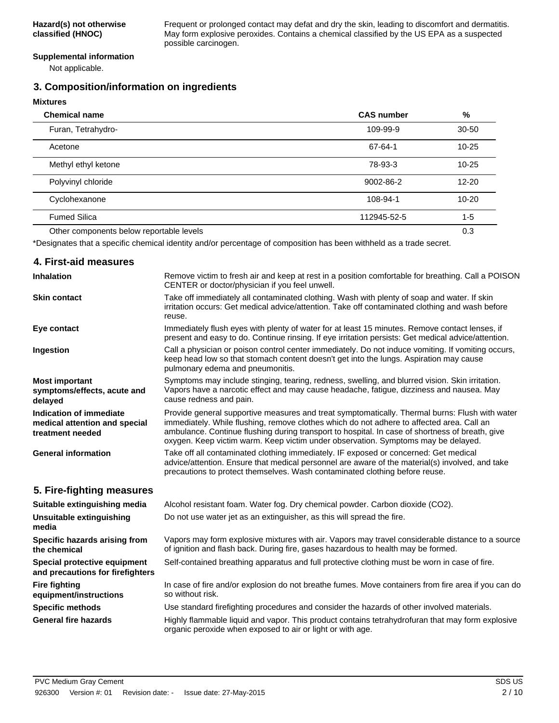Frequent or prolonged contact may defat and dry the skin, leading to discomfort and dermatitis. May form explosive peroxides. Contains a chemical classified by the US EPA as a suspected possible carcinogen.

#### **Supplemental information**

Not applicable.

**Mixtures**

## **3. Composition/information on ingredients**

| <b>MIXtures</b>                          |                   |           |
|------------------------------------------|-------------------|-----------|
| <b>Chemical name</b>                     | <b>CAS number</b> | %         |
| Furan, Tetrahydro-                       | 109-99-9          | $30 - 50$ |
| Acetone                                  | 67-64-1           | $10 - 25$ |
| Methyl ethyl ketone                      | 78-93-3           | $10 - 25$ |
| Polyvinyl chloride                       | 9002-86-2         | $12 - 20$ |
| Cyclohexanone                            | 108-94-1          | $10 - 20$ |
| <b>Fumed Silica</b>                      | 112945-52-5       | $1 - 5$   |
| Other components below reportable levels |                   | 0.3       |

\*Designates that a specific chemical identity and/or percentage of composition has been withheld as a trade secret.

#### **4. First-aid measures** Remove victim to fresh air and keep at rest in a position comfortable for breathing. Call a POISON CENTER or doctor/physician if you feel unwell. **Inhalation** Take off immediately all contaminated clothing. Wash with plenty of soap and water. If skin irritation occurs: Get medical advice/attention. Take off contaminated clothing and wash before reuse. **Skin contact** Immediately flush eyes with plenty of water for at least 15 minutes. Remove contact lenses, if present and easy to do. Continue rinsing. If eye irritation persists: Get medical advice/attention. **Eye contact** Call a physician or poison control center immediately. Do not induce vomiting. If vomiting occurs, keep head low so that stomach content doesn't get into the lungs. Aspiration may cause pulmonary edema and pneumonitis. **Ingestion** Symptoms may include stinging, tearing, redness, swelling, and blurred vision. Skin irritation. Vapors have a narcotic effect and may cause headache, fatigue, dizziness and nausea. May cause redness and pain. **Most important symptoms/effects, acute and delayed** Provide general supportive measures and treat symptomatically. Thermal burns: Flush with water immediately. While flushing, remove clothes which do not adhere to affected area. Call an ambulance. Continue flushing during transport to hospital. In case of shortness of breath, give oxygen. Keep victim warm. Keep victim under observation. Symptoms may be delayed. **Indication of immediate medical attention and special treatment needed** Take off all contaminated clothing immediately. IF exposed or concerned: Get medical advice/attention. Ensure that medical personnel are aware of the material(s) involved, and take precautions to protect themselves. Wash contaminated clothing before reuse. **General information 5. Fire-fighting measures Suitable extinguishing media** Alcohol resistant foam. Water fog. Dry chemical powder. Carbon dioxide (CO2). **Unsuitable extinguishing** Do not use water jet as an extinguisher, as this will spread the fire. **media** Vapors may form explosive mixtures with air. Vapors may travel considerable distance to a source of ignition and flash back. During fire, gases hazardous to health may be formed. **Specific hazards arising from the chemical Special protective equipment** Self-contained breathing apparatus and full protective clothing must be worn in case of fire. **and precautions for firefighters** In case of fire and/or explosion do not breathe fumes. Move containers from fire area if you can do so without risk. **Fire fighting equipment/instructions Specific methods** Use standard firefighting procedures and consider the hazards of other involved materials. Highly flammable liquid and vapor. This product contains tetrahydrofuran that may form explosive organic peroxide when exposed to air or light or with age. **General fire hazards**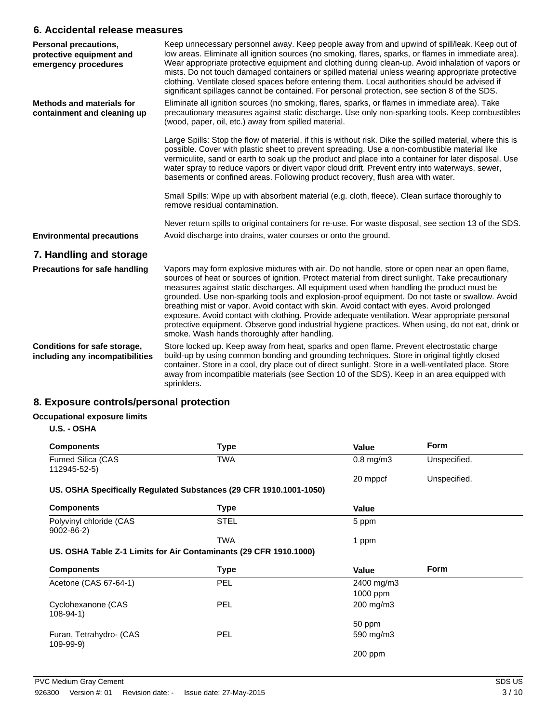### **6. Accidental release measures**

| <b>Personal precautions,</b><br>protective equipment and<br>emergency procedures | Keep unnecessary personnel away. Keep people away from and upwind of spill/leak. Keep out of<br>low areas. Eliminate all ignition sources (no smoking, flares, sparks, or flames in immediate area).<br>Wear appropriate protective equipment and clothing during clean-up. Avoid inhalation of vapors or<br>mists. Do not touch damaged containers or spilled material unless wearing appropriate protective<br>clothing. Ventilate closed spaces before entering them. Local authorities should be advised if<br>significant spillages cannot be contained. For personal protection, see section 8 of the SDS.                                                                                                                                      |
|----------------------------------------------------------------------------------|-------------------------------------------------------------------------------------------------------------------------------------------------------------------------------------------------------------------------------------------------------------------------------------------------------------------------------------------------------------------------------------------------------------------------------------------------------------------------------------------------------------------------------------------------------------------------------------------------------------------------------------------------------------------------------------------------------------------------------------------------------|
| <b>Methods and materials for</b><br>containment and cleaning up                  | Eliminate all ignition sources (no smoking, flares, sparks, or flames in immediate area). Take<br>precautionary measures against static discharge. Use only non-sparking tools. Keep combustibles<br>(wood, paper, oil, etc.) away from spilled material.                                                                                                                                                                                                                                                                                                                                                                                                                                                                                             |
|                                                                                  | Large Spills: Stop the flow of material, if this is without risk. Dike the spilled material, where this is<br>possible. Cover with plastic sheet to prevent spreading. Use a non-combustible material like<br>vermiculite, sand or earth to soak up the product and place into a container for later disposal. Use<br>water spray to reduce vapors or divert vapor cloud drift. Prevent entry into waterways, sewer,<br>basements or confined areas. Following product recovery, flush area with water.                                                                                                                                                                                                                                               |
|                                                                                  | Small Spills: Wipe up with absorbent material (e.g. cloth, fleece). Clean surface thoroughly to<br>remove residual contamination.                                                                                                                                                                                                                                                                                                                                                                                                                                                                                                                                                                                                                     |
|                                                                                  | Never return spills to original containers for re-use. For waste disposal, see section 13 of the SDS.                                                                                                                                                                                                                                                                                                                                                                                                                                                                                                                                                                                                                                                 |
| <b>Environmental precautions</b>                                                 | Avoid discharge into drains, water courses or onto the ground.                                                                                                                                                                                                                                                                                                                                                                                                                                                                                                                                                                                                                                                                                        |
| 7. Handling and storage                                                          |                                                                                                                                                                                                                                                                                                                                                                                                                                                                                                                                                                                                                                                                                                                                                       |
| <b>Precautions for safe handling</b>                                             | Vapors may form explosive mixtures with air. Do not handle, store or open near an open flame,<br>sources of heat or sources of ignition. Protect material from direct sunlight. Take precautionary<br>measures against static discharges. All equipment used when handling the product must be<br>grounded. Use non-sparking tools and explosion-proof equipment. Do not taste or swallow. Avoid<br>breathing mist or vapor. Avoid contact with skin. Avoid contact with eyes. Avoid prolonged<br>exposure. Avoid contact with clothing. Provide adequate ventilation. Wear appropriate personal<br>protective equipment. Observe good industrial hygiene practices. When using, do not eat, drink or<br>smoke. Wash hands thoroughly after handling. |
| Conditions for safe storage,<br>including any incompatibilities                  | Store locked up. Keep away from heat, sparks and open flame. Prevent electrostatic charge<br>build-up by using common bonding and grounding techniques. Store in original tightly closed<br>container. Store in a cool, dry place out of direct sunlight. Store in a well-ventilated place. Store<br>away from incompatible materials (see Section 10 of the SDS). Keep in an area equipped with<br>sprinklers.                                                                                                                                                                                                                                                                                                                                       |

## **8. Exposure controls/personal protection**

## **Occupational exposure limits**

**U.S. - OSHA**

| <b>Components</b>                                                  | <b>Type</b> | Value          | <b>Form</b>  |
|--------------------------------------------------------------------|-------------|----------------|--------------|
| Fumed Silica (CAS<br>112945-52-5)                                  | <b>TWA</b>  | $0.8$ mg/m $3$ | Unspecified. |
|                                                                    |             | 20 mppcf       | Unspecified. |
| US. OSHA Specifically Regulated Substances (29 CFR 1910.1001-1050) |             |                |              |
| <b>Components</b>                                                  | Type        | Value          |              |
| Polyvinyl chloride (CAS<br>$9002 - 86 - 2$                         | STEL        | 5 ppm          |              |
|                                                                    | <b>TWA</b>  | 1 ppm          |              |
| US. OSHA Table Z-1 Limits for Air Contaminants (29 CFR 1910.1000)  |             |                |              |
| <b>Components</b>                                                  | <b>Type</b> | Value          | <b>Form</b>  |
| Acetone (CAS 67-64-1)                                              | <b>PEL</b>  | 2400 mg/m3     |              |
|                                                                    |             | 1000 ppm       |              |
| Cyclohexanone (CAS<br>$108 - 94 - 1$                               | <b>PEL</b>  | 200 mg/m3      |              |
|                                                                    |             | 50 ppm         |              |
| Furan, Tetrahydro- (CAS<br>109-99-9)                               | <b>PEL</b>  | 590 mg/m3      |              |
|                                                                    |             | $200$ ppm      |              |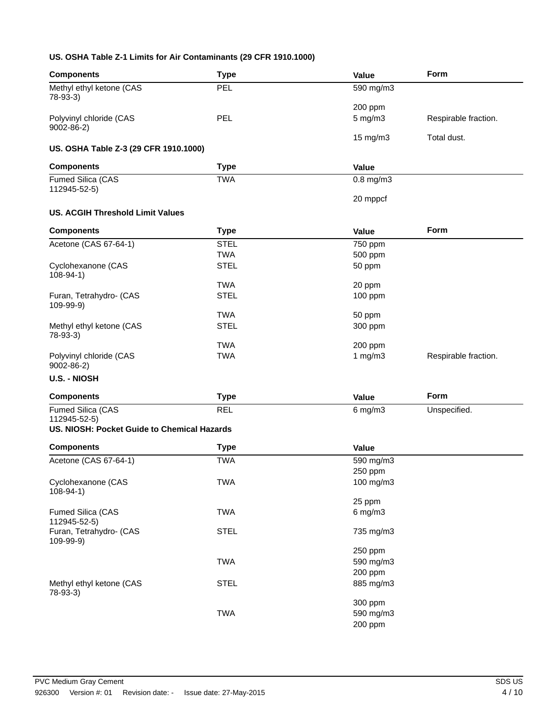#### **US. OSHA Table Z-1 Limits for Air Contaminants (29 CFR 1910.1000)**

| <b>Components</b>                                           | <b>Type</b> | Value                | Form                 |
|-------------------------------------------------------------|-------------|----------------------|----------------------|
| Methyl ethyl ketone (CAS<br>78-93-3)                        | PEL         | 590 mg/m3            |                      |
|                                                             |             | 200 ppm              |                      |
| Polyvinyl chloride (CAS<br>9002-86-2)                       | PEL         | $5$ mg/m $3$         | Respirable fraction. |
| US. OSHA Table Z-3 (29 CFR 1910.1000)                       |             | 15 mg/m3             | Total dust.          |
| <b>Components</b>                                           | <b>Type</b> | Value                |                      |
| Fumed Silica (CAS<br>112945-52-5)                           | <b>TWA</b>  | $0.8$ mg/m $3$       |                      |
|                                                             |             | 20 mppcf             |                      |
| <b>US. ACGIH Threshold Limit Values</b>                     |             |                      |                      |
| <b>Components</b>                                           | <b>Type</b> | Value                | <b>Form</b>          |
| Acetone (CAS 67-64-1)                                       | <b>STEL</b> | 750 ppm              |                      |
|                                                             | <b>TWA</b>  | 500 ppm              |                      |
| Cyclohexanone (CAS<br>$108-94-1)$                           | <b>STEL</b> | 50 ppm               |                      |
|                                                             | <b>TWA</b>  | 20 ppm               |                      |
| Furan, Tetrahydro- (CAS<br>109-99-9)                        | <b>STEL</b> | 100 ppm              |                      |
|                                                             | <b>TWA</b>  | 50 ppm               |                      |
| Methyl ethyl ketone (CAS<br>78-93-3)                        | <b>STEL</b> | 300 ppm              |                      |
|                                                             | <b>TWA</b>  | 200 ppm              |                      |
| Polyvinyl chloride (CAS<br>$9002 - 86 - 2$                  | <b>TWA</b>  | 1 $mg/m3$            | Respirable fraction. |
| <b>U.S. - NIOSH</b>                                         |             |                      |                      |
| <b>Components</b>                                           | <b>Type</b> | Value                | Form                 |
| Fumed Silica (CAS                                           | <b>REL</b>  | $6$ mg/m $3$         | Unspecified.         |
| 112945-52-5)<br>US. NIOSH: Pocket Guide to Chemical Hazards |             |                      |                      |
|                                                             |             |                      |                      |
| <b>Components</b>                                           | <b>Type</b> | <b>Value</b>         |                      |
| Acetone (CAS 67-64-1)                                       | <b>TWA</b>  | 590 mg/m3            |                      |
|                                                             |             | 250 ppm              |                      |
| Cyclohexanone (CAS<br>$108 - 94 - 1$                        | <b>TWA</b>  | 100 mg/m3            |                      |
|                                                             |             | 25 ppm               |                      |
| Fumed Silica (CAS<br>112945-52-5)                           | <b>TWA</b>  | $6$ mg/m $3$         |                      |
| Furan, Tetrahydro- (CAS<br>109-99-9)                        | <b>STEL</b> | 735 mg/m3            |                      |
|                                                             | <b>TWA</b>  | 250 ppm<br>590 mg/m3 |                      |
|                                                             |             | 200 ppm              |                      |
| Methyl ethyl ketone (CAS                                    | <b>STEL</b> | 885 mg/m3            |                      |
| $78-93-3)$                                                  |             |                      |                      |
|                                                             | <b>TWA</b>  | 300 ppm<br>590 mg/m3 |                      |
|                                                             |             | 200 ppm              |                      |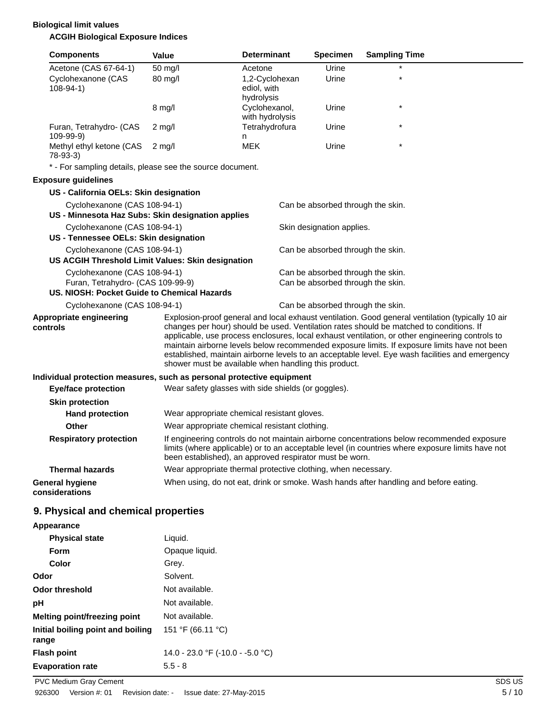### **Biological limit values ACGIH Biological Exposure Indices**

| <b>Components</b>                        |                                        | Value                                                     | <b>Determinant</b>                                                                                                                                                                                                                                        | <b>Specimen</b>                                                        | <b>Sampling Time</b>                                                                                                                                                                                                                                                                                                                                                                          |  |
|------------------------------------------|----------------------------------------|-----------------------------------------------------------|-----------------------------------------------------------------------------------------------------------------------------------------------------------------------------------------------------------------------------------------------------------|------------------------------------------------------------------------|-----------------------------------------------------------------------------------------------------------------------------------------------------------------------------------------------------------------------------------------------------------------------------------------------------------------------------------------------------------------------------------------------|--|
|                                          | Acetone (CAS 67-64-1)                  | 50 mg/l                                                   | Acetone                                                                                                                                                                                                                                                   | Urine                                                                  |                                                                                                                                                                                                                                                                                                                                                                                               |  |
| $108-94-1)$                              | Cyclohexanone (CAS                     | 80 mg/l                                                   | 1,2-Cyclohexan<br>ediol, with<br>hydrolysis                                                                                                                                                                                                               | Urine                                                                  | $\star$                                                                                                                                                                                                                                                                                                                                                                                       |  |
|                                          |                                        | $8 \text{ mg/l}$                                          | Cyclohexanol,<br>with hydrolysis                                                                                                                                                                                                                          | Urine                                                                  | $\star$                                                                                                                                                                                                                                                                                                                                                                                       |  |
| 109-99-9)                                | Furan, Tetrahydro- (CAS                | $2 \text{ mg/l}$                                          | Tetrahydrofura<br>n                                                                                                                                                                                                                                       | Urine                                                                  | $\star$                                                                                                                                                                                                                                                                                                                                                                                       |  |
| $78-93-3$                                | Methyl ethyl ketone (CAS               | $2$ mg/l                                                  | <b>MEK</b>                                                                                                                                                                                                                                                | Urine                                                                  | $\star$                                                                                                                                                                                                                                                                                                                                                                                       |  |
|                                          |                                        | * - For sampling details, please see the source document. |                                                                                                                                                                                                                                                           |                                                                        |                                                                                                                                                                                                                                                                                                                                                                                               |  |
| <b>Exposure guidelines</b>               |                                        |                                                           |                                                                                                                                                                                                                                                           |                                                                        |                                                                                                                                                                                                                                                                                                                                                                                               |  |
|                                          | US - California OELs: Skin designation |                                                           |                                                                                                                                                                                                                                                           |                                                                        |                                                                                                                                                                                                                                                                                                                                                                                               |  |
|                                          | Cyclohexanone (CAS 108-94-1)           |                                                           |                                                                                                                                                                                                                                                           | Can be absorbed through the skin.                                      |                                                                                                                                                                                                                                                                                                                                                                                               |  |
|                                          |                                        | US - Minnesota Haz Subs: Skin designation applies         |                                                                                                                                                                                                                                                           |                                                                        |                                                                                                                                                                                                                                                                                                                                                                                               |  |
|                                          | Cyclohexanone (CAS 108-94-1)           |                                                           |                                                                                                                                                                                                                                                           | Skin designation applies.                                              |                                                                                                                                                                                                                                                                                                                                                                                               |  |
|                                          | US - Tennessee OELs: Skin designation  |                                                           |                                                                                                                                                                                                                                                           |                                                                        |                                                                                                                                                                                                                                                                                                                                                                                               |  |
|                                          | Cyclohexanone (CAS 108-94-1)           |                                                           |                                                                                                                                                                                                                                                           | Can be absorbed through the skin.                                      |                                                                                                                                                                                                                                                                                                                                                                                               |  |
|                                          |                                        | US ACGIH Threshold Limit Values: Skin designation         |                                                                                                                                                                                                                                                           |                                                                        |                                                                                                                                                                                                                                                                                                                                                                                               |  |
|                                          | Cyclohexanone (CAS 108-94-1)           |                                                           |                                                                                                                                                                                                                                                           | Can be absorbed through the skin.<br>Can be absorbed through the skin. |                                                                                                                                                                                                                                                                                                                                                                                               |  |
|                                          | Furan, Tetrahydro- (CAS 109-99-9)      | US. NIOSH: Pocket Guide to Chemical Hazards               |                                                                                                                                                                                                                                                           |                                                                        |                                                                                                                                                                                                                                                                                                                                                                                               |  |
|                                          | Cyclohexanone (CAS 108-94-1)           |                                                           |                                                                                                                                                                                                                                                           | Can be absorbed through the skin.                                      |                                                                                                                                                                                                                                                                                                                                                                                               |  |
|                                          | Appropriate engineering                |                                                           |                                                                                                                                                                                                                                                           |                                                                        | Explosion-proof general and local exhaust ventilation. Good general ventilation (typically 10 air                                                                                                                                                                                                                                                                                             |  |
| controls                                 |                                        |                                                           | shower must be available when handling this product.                                                                                                                                                                                                      |                                                                        | changes per hour) should be used. Ventilation rates should be matched to conditions. If<br>applicable, use process enclosures, local exhaust ventilation, or other engineering controls to<br>maintain airborne levels below recommended exposure limits. If exposure limits have not been<br>established, maintain airborne levels to an acceptable level. Eye wash facilities and emergency |  |
|                                          |                                        |                                                           | Individual protection measures, such as personal protective equipment                                                                                                                                                                                     |                                                                        |                                                                                                                                                                                                                                                                                                                                                                                               |  |
|                                          | <b>Eye/face protection</b>             |                                                           | Wear safety glasses with side shields (or goggles).                                                                                                                                                                                                       |                                                                        |                                                                                                                                                                                                                                                                                                                                                                                               |  |
|                                          | <b>Skin protection</b>                 |                                                           |                                                                                                                                                                                                                                                           |                                                                        |                                                                                                                                                                                                                                                                                                                                                                                               |  |
|                                          | <b>Hand protection</b>                 |                                                           | Wear appropriate chemical resistant gloves.                                                                                                                                                                                                               |                                                                        |                                                                                                                                                                                                                                                                                                                                                                                               |  |
|                                          | Other                                  |                                                           | Wear appropriate chemical resistant clothing.                                                                                                                                                                                                             |                                                                        |                                                                                                                                                                                                                                                                                                                                                                                               |  |
|                                          | <b>Respiratory protection</b>          |                                                           | If engineering controls do not maintain airborne concentrations below recommended exposure<br>limits (where applicable) or to an acceptable level (in countries where exposure limits have not<br>been established), an approved respirator must be worn. |                                                                        |                                                                                                                                                                                                                                                                                                                                                                                               |  |
|                                          | <b>Thermal hazards</b>                 |                                                           | Wear appropriate thermal protective clothing, when necessary.                                                                                                                                                                                             |                                                                        |                                                                                                                                                                                                                                                                                                                                                                                               |  |
| <b>General hygiene</b><br>considerations |                                        |                                                           |                                                                                                                                                                                                                                                           |                                                                        | When using, do not eat, drink or smoke. Wash hands after handling and before eating.                                                                                                                                                                                                                                                                                                          |  |
|                                          | 9. Physical and chemical properties    |                                                           |                                                                                                                                                                                                                                                           |                                                                        |                                                                                                                                                                                                                                                                                                                                                                                               |  |
| Appearance                               |                                        |                                                           |                                                                                                                                                                                                                                                           |                                                                        |                                                                                                                                                                                                                                                                                                                                                                                               |  |
|                                          | <b>Physical state</b>                  | Liquid.                                                   |                                                                                                                                                                                                                                                           |                                                                        |                                                                                                                                                                                                                                                                                                                                                                                               |  |
| Form                                     |                                        | Opaque liquid.                                            |                                                                                                                                                                                                                                                           |                                                                        |                                                                                                                                                                                                                                                                                                                                                                                               |  |
| Color                                    |                                        | Grey.                                                     |                                                                                                                                                                                                                                                           |                                                                        |                                                                                                                                                                                                                                                                                                                                                                                               |  |
| Odor                                     |                                        | Solvent.                                                  |                                                                                                                                                                                                                                                           |                                                                        |                                                                                                                                                                                                                                                                                                                                                                                               |  |

**Evaporation rate** 5.5 - 8

**Initial boiling point and boiling**

**range**

**Odor threshold** Not available. **pH** Not available. **Melting point/freezing point** Not available.

**Flash point** 14.0 - 23.0 °F (-10.0 - -5.0 °C)

151 °F (66.11 °C)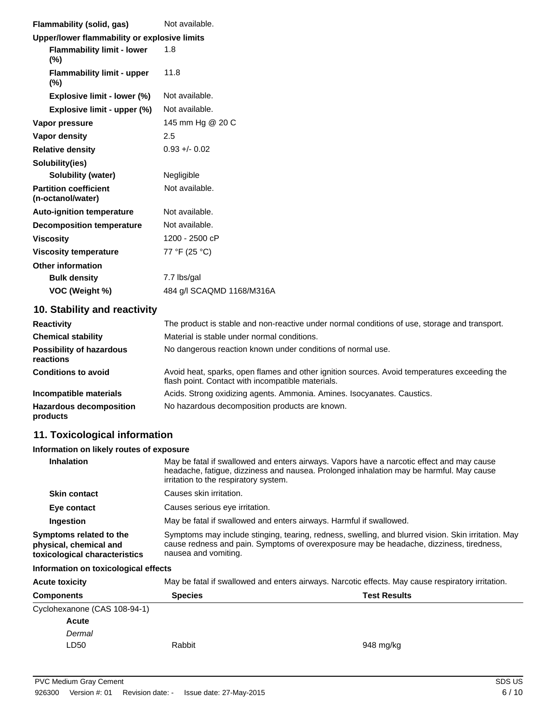| Flammability (solid, gas)                         | Not available.            |  |  |  |
|---------------------------------------------------|---------------------------|--|--|--|
| Upper/lower flammability or explosive limits      |                           |  |  |  |
| <b>Flammability limit - lower</b><br>$(\%)$       | 1.8                       |  |  |  |
| <b>Flammability limit - upper</b><br>$(\%)$       | 11.8                      |  |  |  |
| Explosive limit - lower (%)                       | Not available.            |  |  |  |
| Explosive limit - upper (%)                       | Not available.            |  |  |  |
| Vapor pressure                                    | 145 mm Hg @ 20 C          |  |  |  |
| Vapor density                                     | 2.5                       |  |  |  |
| <b>Relative density</b>                           | $0.93 + 0.02$             |  |  |  |
| Solubility(ies)                                   |                           |  |  |  |
| <b>Solubility (water)</b>                         | Negligible                |  |  |  |
| <b>Partition coefficient</b><br>(n-octanol/water) | Not available.            |  |  |  |
| <b>Auto-ignition temperature</b>                  | Not available.            |  |  |  |
| <b>Decomposition temperature</b>                  | Not available.            |  |  |  |
| <b>Viscosity</b>                                  | 1200 - 2500 cP            |  |  |  |
| <b>Viscosity temperature</b>                      | 77 °F (25 °C)             |  |  |  |
| <b>Other information</b>                          |                           |  |  |  |
| <b>Bulk density</b>                               | 7.7 lbs/gal               |  |  |  |
| VOC (Weight %)                                    | 484 g/l SCAQMD 1168/M316A |  |  |  |

## **10. Stability and reactivity**

| <b>Reactivity</b>                            | The product is stable and non-reactive under normal conditions of use, storage and transport.                                                     |
|----------------------------------------------|---------------------------------------------------------------------------------------------------------------------------------------------------|
| <b>Chemical stability</b>                    | Material is stable under normal conditions.                                                                                                       |
| <b>Possibility of hazardous</b><br>reactions | No dangerous reaction known under conditions of normal use.                                                                                       |
| <b>Conditions to avoid</b>                   | Avoid heat, sparks, open flames and other ignition sources. Avoid temperatures exceeding the<br>flash point. Contact with incompatible materials. |
| Incompatible materials                       | Acids. Strong oxidizing agents. Ammonia. Amines. Isocyanates. Caustics.                                                                           |
| <b>Hazardous decomposition</b><br>products   | No hazardous decomposition products are known.                                                                                                    |

## **11. Toxicological information**

#### **Information on likely routes of exposure**

| <b>Inhalation</b>                                                                  | May be fatal if swallowed and enters airways. Vapors have a narcotic effect and may cause<br>headache, fatigue, dizziness and nausea. Prolonged inhalation may be harmful. May cause<br>irritation to the respiratory system. |
|------------------------------------------------------------------------------------|-------------------------------------------------------------------------------------------------------------------------------------------------------------------------------------------------------------------------------|
| <b>Skin contact</b>                                                                | Causes skin irritation.                                                                                                                                                                                                       |
| Eye contact                                                                        | Causes serious eye irritation.                                                                                                                                                                                                |
| Ingestion                                                                          | May be fatal if swallowed and enters airways. Harmful if swallowed.                                                                                                                                                           |
| Symptoms related to the<br>physical, chemical and<br>toxicological characteristics | Symptoms may include stinging, tearing, redness, swelling, and blurred vision. Skin irritation. May<br>cause redness and pain. Symptoms of overexposure may be headache, dizziness, tiredness,<br>nausea and vomiting.        |

#### **Information on toxicological effects**

| <b>Acute toxicity</b>        | May be fatal if swallowed and enters airways. Narcotic effects. May cause respiratory irritation. |           |  |
|------------------------------|---------------------------------------------------------------------------------------------------|-----------|--|
| <b>Components</b>            | <b>Test Results</b><br><b>Species</b>                                                             |           |  |
| Cyclohexanone (CAS 108-94-1) |                                                                                                   |           |  |
| <b>Acute</b>                 |                                                                                                   |           |  |
| Dermal                       |                                                                                                   |           |  |
| LD50                         | Rabbit                                                                                            | 948 mg/kg |  |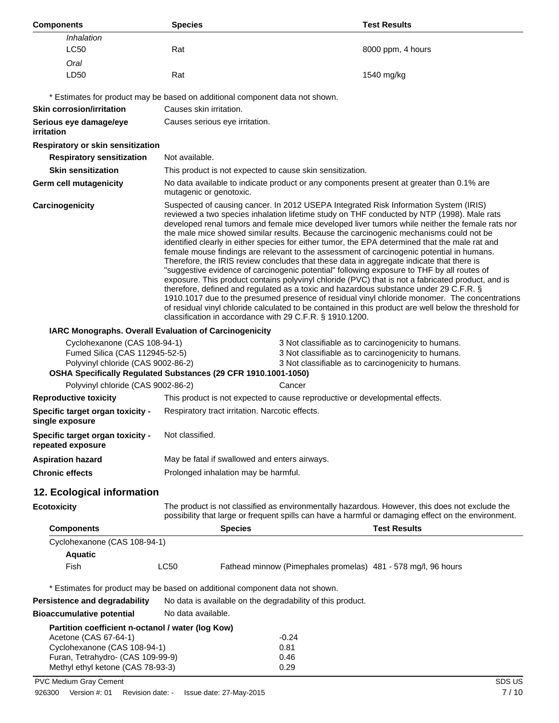| <b>Components</b>                                                                                                                                                      | <b>Species</b>                                                                                                                                                                                                                                                                                                                                                                                                                                                                                                                                                                                                                                                                                                                                                                                                                                                                                                                                                                                                                                                                                                                                                                     |                                                                                          | <b>Test Results</b>                                                                                                                                                                                   |
|------------------------------------------------------------------------------------------------------------------------------------------------------------------------|------------------------------------------------------------------------------------------------------------------------------------------------------------------------------------------------------------------------------------------------------------------------------------------------------------------------------------------------------------------------------------------------------------------------------------------------------------------------------------------------------------------------------------------------------------------------------------------------------------------------------------------------------------------------------------------------------------------------------------------------------------------------------------------------------------------------------------------------------------------------------------------------------------------------------------------------------------------------------------------------------------------------------------------------------------------------------------------------------------------------------------------------------------------------------------|------------------------------------------------------------------------------------------|-------------------------------------------------------------------------------------------------------------------------------------------------------------------------------------------------------|
| Inhalation<br>LC50                                                                                                                                                     | Rat                                                                                                                                                                                                                                                                                                                                                                                                                                                                                                                                                                                                                                                                                                                                                                                                                                                                                                                                                                                                                                                                                                                                                                                |                                                                                          | 8000 ppm, 4 hours                                                                                                                                                                                     |
| Oral                                                                                                                                                                   |                                                                                                                                                                                                                                                                                                                                                                                                                                                                                                                                                                                                                                                                                                                                                                                                                                                                                                                                                                                                                                                                                                                                                                                    |                                                                                          |                                                                                                                                                                                                       |
| LD50                                                                                                                                                                   | Rat                                                                                                                                                                                                                                                                                                                                                                                                                                                                                                                                                                                                                                                                                                                                                                                                                                                                                                                                                                                                                                                                                                                                                                                |                                                                                          | 1540 mg/kg                                                                                                                                                                                            |
|                                                                                                                                                                        |                                                                                                                                                                                                                                                                                                                                                                                                                                                                                                                                                                                                                                                                                                                                                                                                                                                                                                                                                                                                                                                                                                                                                                                    | * Estimates for product may be based on additional component data not shown.             |                                                                                                                                                                                                       |
| <b>Skin corrosion/irritation</b>                                                                                                                                       | Causes skin irritation.                                                                                                                                                                                                                                                                                                                                                                                                                                                                                                                                                                                                                                                                                                                                                                                                                                                                                                                                                                                                                                                                                                                                                            |                                                                                          |                                                                                                                                                                                                       |
| Serious eye damage/eye<br><i>irritation</i>                                                                                                                            |                                                                                                                                                                                                                                                                                                                                                                                                                                                                                                                                                                                                                                                                                                                                                                                                                                                                                                                                                                                                                                                                                                                                                                                    | Causes serious eye irritation.                                                           |                                                                                                                                                                                                       |
| Respiratory or skin sensitization                                                                                                                                      |                                                                                                                                                                                                                                                                                                                                                                                                                                                                                                                                                                                                                                                                                                                                                                                                                                                                                                                                                                                                                                                                                                                                                                                    |                                                                                          |                                                                                                                                                                                                       |
| <b>Respiratory sensitization</b>                                                                                                                                       | Not available.                                                                                                                                                                                                                                                                                                                                                                                                                                                                                                                                                                                                                                                                                                                                                                                                                                                                                                                                                                                                                                                                                                                                                                     |                                                                                          |                                                                                                                                                                                                       |
| <b>Skin sensitization</b>                                                                                                                                              |                                                                                                                                                                                                                                                                                                                                                                                                                                                                                                                                                                                                                                                                                                                                                                                                                                                                                                                                                                                                                                                                                                                                                                                    | This product is not expected to cause skin sensitization.                                |                                                                                                                                                                                                       |
| Germ cell mutagenicity                                                                                                                                                 | mutagenic or genotoxic.                                                                                                                                                                                                                                                                                                                                                                                                                                                                                                                                                                                                                                                                                                                                                                                                                                                                                                                                                                                                                                                                                                                                                            | No data available to indicate product or any components present at greater than 0.1% are |                                                                                                                                                                                                       |
| Carcinogenicity                                                                                                                                                        | Suspected of causing cancer. In 2012 USEPA Integrated Risk Information System (IRIS)<br>reviewed a two species inhalation lifetime study on THF conducted by NTP (1998). Male rats<br>developed renal tumors and female mice developed liver tumors while neither the female rats nor<br>the male mice showed similar results. Because the carcinogenic mechanisms could not be<br>identified clearly in either species for either tumor, the EPA determined that the male rat and<br>female mouse findings are relevant to the assessment of carcinogenic potential in humans.<br>Therefore, the IRIS review concludes that these data in aggregate indicate that there is<br>"suggestive evidence of carcinogenic potential" following exposure to THF by all routes of<br>exposure. This product contains polyvinyl chloride (PVC) that is not a fabricated product, and is<br>therefore, defined and regulated as a toxic and hazardous substance under 29 C.F.R. §<br>1910.1017 due to the presumed presence of residual vinyl chloride monomer. The concentrations<br>of residual vinyl chloride calculated to be contained in this product are well below the threshold for |                                                                                          |                                                                                                                                                                                                       |
| IARC Monographs. Overall Evaluation of Carcinogenicity                                                                                                                 |                                                                                                                                                                                                                                                                                                                                                                                                                                                                                                                                                                                                                                                                                                                                                                                                                                                                                                                                                                                                                                                                                                                                                                                    | classification in accordance with 29 C.F.R. § 1910.1200.                                 |                                                                                                                                                                                                       |
| Cyclohexanone (CAS 108-94-1)<br>Fumed Silica (CAS 112945-52-5)<br>Polyvinyl chloride (CAS 9002-86-2)<br>OSHA Specifically Regulated Substances (29 CFR 1910.1001-1050) |                                                                                                                                                                                                                                                                                                                                                                                                                                                                                                                                                                                                                                                                                                                                                                                                                                                                                                                                                                                                                                                                                                                                                                                    |                                                                                          | 3 Not classifiable as to carcinogenicity to humans.<br>3 Not classifiable as to carcinogenicity to humans.<br>3 Not classifiable as to carcinogenicity to humans.                                     |
| Polyvinyl chloride (CAS 9002-86-2)                                                                                                                                     |                                                                                                                                                                                                                                                                                                                                                                                                                                                                                                                                                                                                                                                                                                                                                                                                                                                                                                                                                                                                                                                                                                                                                                                    | Cancer                                                                                   |                                                                                                                                                                                                       |
| <b>Reproductive toxicity</b>                                                                                                                                           |                                                                                                                                                                                                                                                                                                                                                                                                                                                                                                                                                                                                                                                                                                                                                                                                                                                                                                                                                                                                                                                                                                                                                                                    | This product is not expected to cause reproductive or developmental effects.             |                                                                                                                                                                                                       |
| Specific target organ toxicity -<br>single exposure                                                                                                                    |                                                                                                                                                                                                                                                                                                                                                                                                                                                                                                                                                                                                                                                                                                                                                                                                                                                                                                                                                                                                                                                                                                                                                                                    | Respiratory tract irritation. Narcotic effects.                                          |                                                                                                                                                                                                       |
| Specific target organ toxicity -<br>repeated exposure                                                                                                                  | Not classified.                                                                                                                                                                                                                                                                                                                                                                                                                                                                                                                                                                                                                                                                                                                                                                                                                                                                                                                                                                                                                                                                                                                                                                    |                                                                                          |                                                                                                                                                                                                       |
| <b>Aspiration hazard</b>                                                                                                                                               |                                                                                                                                                                                                                                                                                                                                                                                                                                                                                                                                                                                                                                                                                                                                                                                                                                                                                                                                                                                                                                                                                                                                                                                    | May be fatal if swallowed and enters airways.                                            |                                                                                                                                                                                                       |
| <b>Chronic effects</b>                                                                                                                                                 |                                                                                                                                                                                                                                                                                                                                                                                                                                                                                                                                                                                                                                                                                                                                                                                                                                                                                                                                                                                                                                                                                                                                                                                    | Prolonged inhalation may be harmful.                                                     |                                                                                                                                                                                                       |
| 12. Ecological information                                                                                                                                             |                                                                                                                                                                                                                                                                                                                                                                                                                                                                                                                                                                                                                                                                                                                                                                                                                                                                                                                                                                                                                                                                                                                                                                                    |                                                                                          |                                                                                                                                                                                                       |
| <b>Ecotoxicity</b>                                                                                                                                                     |                                                                                                                                                                                                                                                                                                                                                                                                                                                                                                                                                                                                                                                                                                                                                                                                                                                                                                                                                                                                                                                                                                                                                                                    |                                                                                          | The product is not classified as environmentally hazardous. However, this does not exclude the<br>possibility that large or frequent spills can have a harmful or damaging effect on the environment. |
| <b>Components</b>                                                                                                                                                      |                                                                                                                                                                                                                                                                                                                                                                                                                                                                                                                                                                                                                                                                                                                                                                                                                                                                                                                                                                                                                                                                                                                                                                                    | <b>Species</b>                                                                           | <b>Test Results</b>                                                                                                                                                                                   |
| Cyclohexanone (CAS 108-94-1)                                                                                                                                           |                                                                                                                                                                                                                                                                                                                                                                                                                                                                                                                                                                                                                                                                                                                                                                                                                                                                                                                                                                                                                                                                                                                                                                                    |                                                                                          |                                                                                                                                                                                                       |
| <b>Aquatic</b>                                                                                                                                                         |                                                                                                                                                                                                                                                                                                                                                                                                                                                                                                                                                                                                                                                                                                                                                                                                                                                                                                                                                                                                                                                                                                                                                                                    |                                                                                          |                                                                                                                                                                                                       |
| Fish                                                                                                                                                                   | <b>LC50</b>                                                                                                                                                                                                                                                                                                                                                                                                                                                                                                                                                                                                                                                                                                                                                                                                                                                                                                                                                                                                                                                                                                                                                                        | Fathead minnow (Pimephales promelas) 481 - 578 mg/l, 96 hours                            |                                                                                                                                                                                                       |
|                                                                                                                                                                        |                                                                                                                                                                                                                                                                                                                                                                                                                                                                                                                                                                                                                                                                                                                                                                                                                                                                                                                                                                                                                                                                                                                                                                                    | * Estimates for product may be based on additional component data not shown.             |                                                                                                                                                                                                       |
| Persistence and degradability                                                                                                                                          |                                                                                                                                                                                                                                                                                                                                                                                                                                                                                                                                                                                                                                                                                                                                                                                                                                                                                                                                                                                                                                                                                                                                                                                    | No data is available on the degradability of this product.                               |                                                                                                                                                                                                       |
| <b>Bioaccumulative potential</b>                                                                                                                                       | No data available.                                                                                                                                                                                                                                                                                                                                                                                                                                                                                                                                                                                                                                                                                                                                                                                                                                                                                                                                                                                                                                                                                                                                                                 |                                                                                          |                                                                                                                                                                                                       |
| Partition coefficient n-octanol / water (log Kow)                                                                                                                      |                                                                                                                                                                                                                                                                                                                                                                                                                                                                                                                                                                                                                                                                                                                                                                                                                                                                                                                                                                                                                                                                                                                                                                                    |                                                                                          |                                                                                                                                                                                                       |
| Acetone (CAS 67-64-1)                                                                                                                                                  |                                                                                                                                                                                                                                                                                                                                                                                                                                                                                                                                                                                                                                                                                                                                                                                                                                                                                                                                                                                                                                                                                                                                                                                    | -0.24                                                                                    |                                                                                                                                                                                                       |
| Cyclohexanone (CAS 108-94-1)<br>Furan, Tetrahydro- (CAS 109-99-9)                                                                                                      |                                                                                                                                                                                                                                                                                                                                                                                                                                                                                                                                                                                                                                                                                                                                                                                                                                                                                                                                                                                                                                                                                                                                                                                    | 0.81<br>0.46                                                                             |                                                                                                                                                                                                       |
| Methyl ethyl ketone (CAS 78-93-3)                                                                                                                                      |                                                                                                                                                                                                                                                                                                                                                                                                                                                                                                                                                                                                                                                                                                                                                                                                                                                                                                                                                                                                                                                                                                                                                                                    | 0.29                                                                                     |                                                                                                                                                                                                       |
| PVC Medium Gray Cement                                                                                                                                                 |                                                                                                                                                                                                                                                                                                                                                                                                                                                                                                                                                                                                                                                                                                                                                                                                                                                                                                                                                                                                                                                                                                                                                                                    |                                                                                          | SDS US                                                                                                                                                                                                |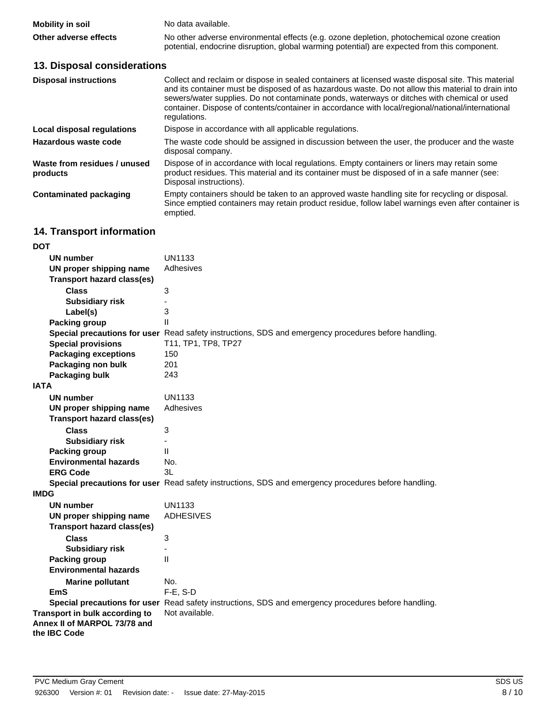| <b>Mobility in soil</b> | No data available.                                                                                                                                                                         |
|-------------------------|--------------------------------------------------------------------------------------------------------------------------------------------------------------------------------------------|
| Other adverse effects   | No other adverse environmental effects (e.g. ozone depletion, photochemical ozone creation<br>potential, endocrine disruption, global warming potential) are expected from this component. |

## **13. Disposal considerations**

| <b>Disposal instructions</b>             | Collect and reclaim or dispose in sealed containers at licensed waste disposal site. This material<br>and its container must be disposed of as hazardous waste. Do not allow this material to drain into<br>sewers/water supplies. Do not contaminate ponds, waterways or ditches with chemical or used<br>container. Dispose of contents/container in accordance with local/regional/national/international<br>regulations. |
|------------------------------------------|------------------------------------------------------------------------------------------------------------------------------------------------------------------------------------------------------------------------------------------------------------------------------------------------------------------------------------------------------------------------------------------------------------------------------|
| Local disposal regulations               | Dispose in accordance with all applicable regulations.                                                                                                                                                                                                                                                                                                                                                                       |
| Hazardous waste code                     | The waste code should be assigned in discussion between the user, the producer and the waste<br>disposal company.                                                                                                                                                                                                                                                                                                            |
| Waste from residues / unused<br>products | Dispose of in accordance with local regulations. Empty containers or liners may retain some<br>product residues. This material and its container must be disposed of in a safe manner (see:<br>Disposal instructions).                                                                                                                                                                                                       |
| Contaminated packaging                   | Empty containers should be taken to an approved waste handling site for recycling or disposal.<br>Since emptied containers may retain product residue, follow label warnings even after container is<br>emptied.                                                                                                                                                                                                             |

## **14. Transport information**

| DOT                                                                            |                                                                                                      |
|--------------------------------------------------------------------------------|------------------------------------------------------------------------------------------------------|
| UN number                                                                      | UN1133                                                                                               |
| UN proper shipping name                                                        | Adhesives                                                                                            |
| <b>Transport hazard class(es)</b>                                              |                                                                                                      |
| <b>Class</b>                                                                   | 3                                                                                                    |
| <b>Subsidiary risk</b>                                                         |                                                                                                      |
| Label(s)                                                                       | 3                                                                                                    |
| <b>Packing group</b>                                                           | $\mathbf{H}$                                                                                         |
|                                                                                | Special precautions for user Read safety instructions, SDS and emergency procedures before handling. |
| <b>Special provisions</b>                                                      | T11, TP1, TP8, TP27                                                                                  |
| <b>Packaging exceptions</b>                                                    | 150                                                                                                  |
| Packaging non bulk                                                             | 201                                                                                                  |
| Packaging bulk                                                                 | 243                                                                                                  |
| <b>IATA</b>                                                                    |                                                                                                      |
| <b>UN number</b>                                                               | UN1133                                                                                               |
| UN proper shipping name                                                        | Adhesives                                                                                            |
| <b>Transport hazard class(es)</b>                                              |                                                                                                      |
| <b>Class</b>                                                                   | 3                                                                                                    |
| <b>Subsidiary risk</b>                                                         | ÷,                                                                                                   |
| <b>Packing group</b>                                                           | $\mathbf{H}$                                                                                         |
| <b>Environmental hazards</b>                                                   | No.                                                                                                  |
| <b>ERG Code</b>                                                                | 31                                                                                                   |
|                                                                                | Special precautions for user Read safety instructions, SDS and emergency procedures before handling. |
| <b>IMDG</b>                                                                    |                                                                                                      |
| <b>UN number</b>                                                               | <b>UN1133</b>                                                                                        |
| UN proper shipping name                                                        | <b>ADHESIVES</b>                                                                                     |
| <b>Transport hazard class(es)</b>                                              |                                                                                                      |
| <b>Class</b>                                                                   | 3                                                                                                    |
| <b>Subsidiary risk</b>                                                         | ä,                                                                                                   |
| <b>Packing group</b>                                                           | $\mathbf{H}$                                                                                         |
| <b>Environmental hazards</b>                                                   |                                                                                                      |
| <b>Marine pollutant</b>                                                        | No.                                                                                                  |
| EmS                                                                            | F-E, S-D                                                                                             |
|                                                                                | Special precautions for user Read safety instructions, SDS and emergency procedures before handling. |
| Transport in bulk according to<br>Annex II of MARPOL 73/78 and<br>the IBC Code | Not available.                                                                                       |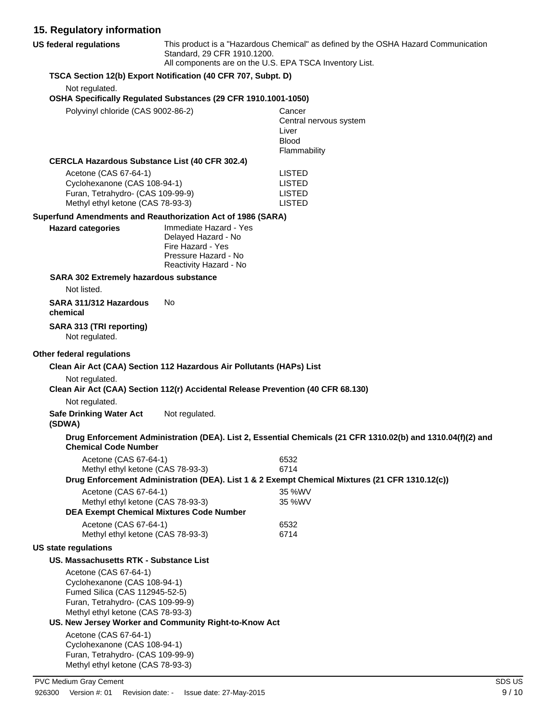## **15. Regulatory information**

| 15. Regulatory information                                          |                                                                                        |                                                                                                             |
|---------------------------------------------------------------------|----------------------------------------------------------------------------------------|-------------------------------------------------------------------------------------------------------------|
| <b>US federal regulations</b>                                       | Standard, 29 CFR 1910.1200.<br>All components are on the U.S. EPA TSCA Inventory List. | This product is a "Hazardous Chemical" as defined by the OSHA Hazard Communication                          |
|                                                                     | TSCA Section 12(b) Export Notification (40 CFR 707, Subpt. D)                          |                                                                                                             |
| Not regulated.                                                      |                                                                                        |                                                                                                             |
|                                                                     | OSHA Specifically Regulated Substances (29 CFR 1910.1001-1050)                         |                                                                                                             |
| Polyvinyl chloride (CAS 9002-86-2)                                  |                                                                                        | Cancer                                                                                                      |
|                                                                     |                                                                                        | Central nervous system<br>Liver                                                                             |
|                                                                     |                                                                                        | <b>Blood</b>                                                                                                |
|                                                                     |                                                                                        | Flammability                                                                                                |
| <b>CERCLA Hazardous Substance List (40 CFR 302.4)</b>               |                                                                                        |                                                                                                             |
| Acetone (CAS 67-64-1)                                               |                                                                                        | <b>LISTED</b><br><b>LISTED</b>                                                                              |
| Cyclohexanone (CAS 108-94-1)<br>Furan, Tetrahydro- (CAS 109-99-9)   |                                                                                        | <b>LISTED</b>                                                                                               |
| Methyl ethyl ketone (CAS 78-93-3)                                   |                                                                                        | <b>LISTED</b>                                                                                               |
| Superfund Amendments and Reauthorization Act of 1986 (SARA)         |                                                                                        |                                                                                                             |
| <b>Hazard categories</b>                                            | Immediate Hazard - Yes                                                                 |                                                                                                             |
|                                                                     | Delayed Hazard - No<br>Fire Hazard - Yes                                               |                                                                                                             |
|                                                                     | Pressure Hazard - No                                                                   |                                                                                                             |
|                                                                     | Reactivity Hazard - No                                                                 |                                                                                                             |
| SARA 302 Extremely hazardous substance                              |                                                                                        |                                                                                                             |
| Not listed.                                                         |                                                                                        |                                                                                                             |
| SARA 311/312 Hazardous<br>chemical                                  | No                                                                                     |                                                                                                             |
| SARA 313 (TRI reporting)<br>Not regulated.                          |                                                                                        |                                                                                                             |
| Other federal regulations                                           |                                                                                        |                                                                                                             |
|                                                                     | Clean Air Act (CAA) Section 112 Hazardous Air Pollutants (HAPs) List                   |                                                                                                             |
| Not regulated.                                                      |                                                                                        |                                                                                                             |
|                                                                     | Clean Air Act (CAA) Section 112(r) Accidental Release Prevention (40 CFR 68.130)       |                                                                                                             |
| Not regulated.                                                      |                                                                                        |                                                                                                             |
| <b>Safe Drinking Water Act</b><br>(SDWA)                            | Not regulated.                                                                         |                                                                                                             |
| <b>Chemical Code Number</b>                                         |                                                                                        | Drug Enforcement Administration (DEA). List 2, Essential Chemicals (21 CFR 1310.02(b) and 1310.04(f)(2) and |
| Acetone (CAS 67-64-1)                                               |                                                                                        | 6532                                                                                                        |
| Methyl ethyl ketone (CAS 78-93-3)                                   |                                                                                        | 6714<br>Drug Enforcement Administration (DEA). List 1 & 2 Exempt Chemical Mixtures (21 CFR 1310.12(c))      |
| Acetone (CAS 67-64-1)                                               |                                                                                        | 35 %WV                                                                                                      |
| Methyl ethyl ketone (CAS 78-93-3)                                   |                                                                                        | 35 %WV                                                                                                      |
|                                                                     | <b>DEA Exempt Chemical Mixtures Code Number</b>                                        |                                                                                                             |
| Acetone (CAS 67-64-1)<br>Methyl ethyl ketone (CAS 78-93-3)          |                                                                                        | 6532<br>6714                                                                                                |
| <b>US state regulations</b>                                         |                                                                                        |                                                                                                             |
| US. Massachusetts RTK - Substance List                              |                                                                                        |                                                                                                             |
| Acetone (CAS 67-64-1)                                               |                                                                                        |                                                                                                             |
| Cyclohexanone (CAS 108-94-1)                                        |                                                                                        |                                                                                                             |
| Fumed Silica (CAS 112945-52-5)<br>Furan, Tetrahydro- (CAS 109-99-9) |                                                                                        |                                                                                                             |
| Methyl ethyl ketone (CAS 78-93-3)                                   |                                                                                        |                                                                                                             |
|                                                                     | US. New Jersey Worker and Community Right-to-Know Act                                  |                                                                                                             |
| Acetone (CAS 67-64-1)<br>Cyclohexanone (CAS 108-94-1)               |                                                                                        |                                                                                                             |

Cyclohexanone (CAS 108-94-1) Furan, Tetrahydro- (CAS 109-99-9) Methyl ethyl ketone (CAS 78-93-3)